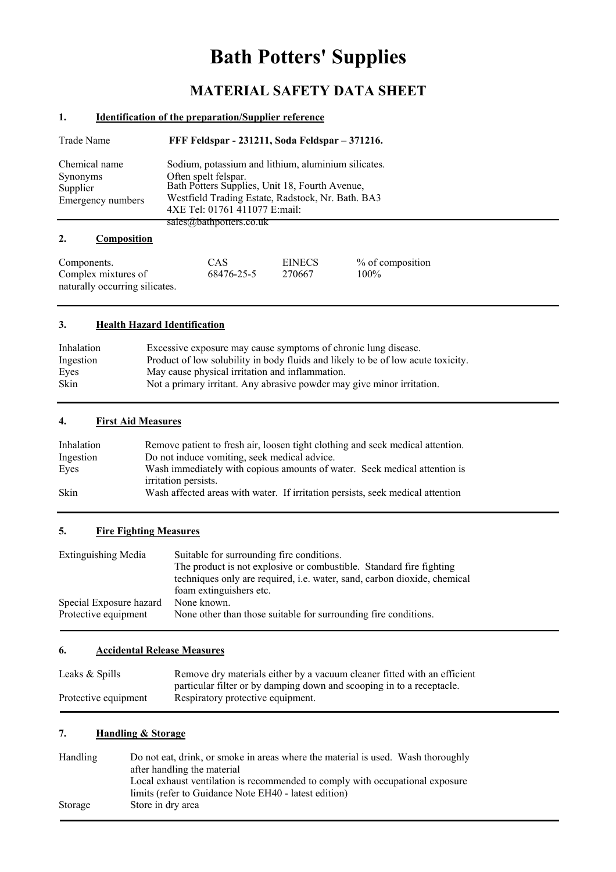# **Bath Potters' Supplies**

## **MATERIAL SAFETY DATA SHEET**

#### **1. Identification of the preparation/Supplier reference**

| Trade Name                                                 | FFF Feldspar - 231211, Soda Feldspar – 371216.                                                                                                                                                                      |
|------------------------------------------------------------|---------------------------------------------------------------------------------------------------------------------------------------------------------------------------------------------------------------------|
| Chemical name<br>Synonyms<br>Supplier<br>Emergency numbers | Sodium, potassium and lithium, aluminium silicates.<br>Often spelt felspar.<br>Bath Potters Supplies, Unit 18, Fourth Avenue,<br>Westfield Trading Estate, Radstock, Nr. Bath. BA3<br>4XE Tel: 01761 411077 E:mail: |
|                                                            | sales $(\omega)$ painpotters.co.uk                                                                                                                                                                                  |
| Composition                                                |                                                                                                                                                                                                                     |

| Components.                    | CAS        | <b>EINECS</b> | % of composition |
|--------------------------------|------------|---------------|------------------|
| Complex mixtures of            | 68476-25-5 | 270667        | $100\%$          |
| naturally occurring silicates. |            |               |                  |

#### **3. Health Hazard Identification**

| Inhalation | Excessive exposure may cause symptoms of chronic lung disease.                   |
|------------|----------------------------------------------------------------------------------|
| Ingestion  | Product of low solubility in body fluids and likely to be of low acute toxicity. |
| Eves       | May cause physical irritation and inflammation.                                  |
| Skin       | Not a primary irritant. Any abrasive powder may give minor irritation.           |

### **4. First Aid Measures**

| Inhalation  | Remove patient to fresh air, loosen tight clothing and seek medical attention.                    |
|-------------|---------------------------------------------------------------------------------------------------|
| Ingestion   | Do not induce vomiting, seek medical advice.                                                      |
| Eves        | Wash immediately with copious amounts of water. Seek medical attention is<br>irritation persists. |
| <b>Skin</b> | Wash affected areas with water. If irritation persists, seek medical attention                    |

#### **5. Fire Fighting Measures**

| <b>Extinguishing Media</b> | Suitable for surrounding fire conditions.                                |  |  |
|----------------------------|--------------------------------------------------------------------------|--|--|
|                            | The product is not explosive or combustible. Standard fire fighting      |  |  |
|                            | techniques only are required, i.e. water, sand, carbon dioxide, chemical |  |  |
|                            | foam extinguishers etc.                                                  |  |  |
| Special Exposure hazard    | None known.                                                              |  |  |
| Protective equipment       | None other than those suitable for surrounding fire conditions.          |  |  |

#### **6. Accidental Release Measures**

| Leaks & Spills       | Remove dry materials either by a vacuum cleaner fitted with an efficient |
|----------------------|--------------------------------------------------------------------------|
|                      | particular filter or by damping down and scooping in to a receptacle.    |
| Protective equipment | Respiratory protective equipment.                                        |

#### **7. Handling & Storage**

| Handling | Do not eat, drink, or smoke in areas where the material is used. Wash thoroughly |
|----------|----------------------------------------------------------------------------------|
|          | after handling the material                                                      |
|          | Local exhaust ventilation is recommended to comply with occupational exposure    |
|          | limits (refer to Guidance Note EH40 - latest edition)                            |
| Storage  | Store in dry area                                                                |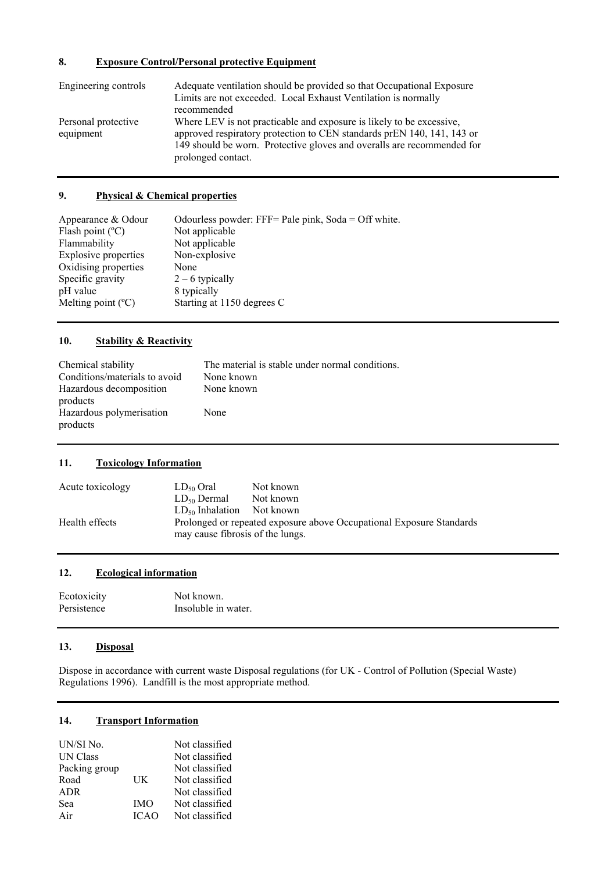#### **8. Exposure Control/Personal protective Equipment**

| Engineering controls             | Adequate ventilation should be provided so that Occupational Exposure<br>Limits are not exceeded. Local Exhaust Ventilation is normally<br>recommended                                                                                         |
|----------------------------------|------------------------------------------------------------------------------------------------------------------------------------------------------------------------------------------------------------------------------------------------|
| Personal protective<br>equipment | Where LEV is not practicable and exposure is likely to be excessive,<br>approved respiratory protection to CEN standards prEN 140, 141, 143 or<br>149 should be worn. Protective gloves and overalls are recommended for<br>prolonged contact. |

#### **9. Physical & Chemical properties**

| Appearance & Odour          | Odourless powder: FFF= Pale pink, $Soda = Off$ white. |
|-----------------------------|-------------------------------------------------------|
| Flash point $(^{\circ}C)$   | Not applicable                                        |
| Flammability                | Not applicable                                        |
| Explosive properties        | Non-explosive                                         |
| Oxidising properties        | None                                                  |
| Specific gravity            | $2 - 6$ typically                                     |
| pH value                    | 8 typically                                           |
| Melting point $(^{\circ}C)$ | Starting at 1150 degrees C                            |

#### **10. Stability & Reactivity**

| Chemical stability<br>Conditions/materials to avoid | The material is stable under normal conditions.<br>None known |
|-----------------------------------------------------|---------------------------------------------------------------|
| Hazardous decomposition<br>products                 | None known                                                    |
| Hazardous polymerisation<br>products                | None                                                          |

#### **11. Toxicology Information**

| Acute toxicology | $LD_{50}$ Oral                   | Not known                                                            |
|------------------|----------------------------------|----------------------------------------------------------------------|
|                  | $LD_{50}$ Dermal                 | Not known                                                            |
|                  | $LD_{50}$ Inhalation             | Not known                                                            |
| Health effects   | may cause fibrosis of the lungs. | Prolonged or repeated exposure above Occupational Exposure Standards |

#### **12. Ecological information**

| Ecotoxicity | Not known.          |
|-------------|---------------------|
| Persistence | Insoluble in water. |

#### **13. Disposal**

Dispose in accordance with current waste Disposal regulations (for UK - Control of Pollution (Special Waste) Regulations 1996). Landfill is the most appropriate method.

#### **14. Transport Information**

| UN/SI No.       |             | Not classified |
|-----------------|-------------|----------------|
| <b>UN Class</b> |             | Not classified |
| Packing group   |             | Not classified |
| Road            | UK          | Not classified |
| <b>ADR</b>      |             | Not classified |
| Sea             | <b>IMO</b>  | Not classified |
| Air             | <b>ICAO</b> | Not classified |
|                 |             |                |